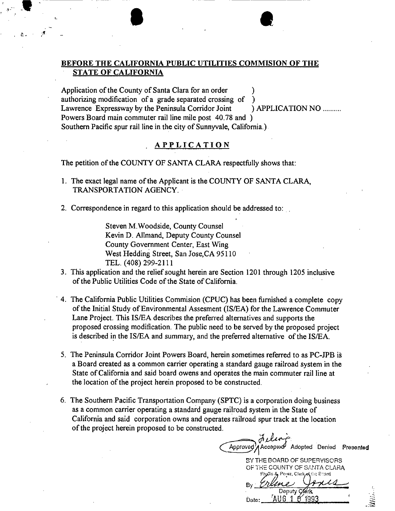### BEFORE THE CALIFORNIA PUBLIC UTILITIES COMMISTON OF THE STATE OF CALIFORNIA

**e** 

 $\blacksquare$ 

 $\mathbf{f}$  . The  $\mathbf{f}$ 

"

 $\mathbf{A}$ 

Application of the County of Santa Clara for an order authorizing modification of a grade separated crossing of ) Lawrence Expressway by the Peninsula Corridor Joint ) APPLICATION NO ......... Powers Board main commuter rail line mile post 40.78 and) Southern Pacific spur rail line in the city of Sunnyvale, California.).

### APPLICATION

The petition of the COUNTY OF SANTA CLARA respectfully shows that:

- 1. The exact legal name of the Applicant is the COUNTY OF SANTA CLARA, TRANSPORTATION AGENCY.
- 2. Correspondence in regard to this application should be addressed to:

Steven M.Woodside, County Counsel Kevin D. Allmand, Deputy County Counsel County Government Center, East Wing West Hedding Street, San Jose, CA 95110 TEL. (408) 299-2111

- 3. This application and the relief sought herein are Section 1201 through 1205 inclusive of the Public Utilities Code of the State of California .
- . 4. The California Public Utilities Commision (CPUC) has been furnished a complete copy of the Initial Study of Environmental Assesment (ISIEA) for the Lawrence Commuter Lane Project. This IS/EA describes the preferred alternatives and supports the proposed crossing modification. The public need to be served by the proposed project is described in the IS/EA and summary, and the preferred alternative of the IS/EA.
- 5. The Peninsula Corridor Joint Powers Board, herein sometimes referred to as PC-JPB is a Board created as a common carrier operating a standard gauge railroad system in the State of California and said board owens and operates the main commuter rail line at the location of the project herein proposed to be constructed.
- 6. The Southern Pacific Transportation Company (SPTC) is a corporation doing business as a common carrier operating a standard gauge railroad system in the State of California and said corporation owns and operates railroad spur track at the location of the project herein proposed to be constructed.

*if,.~ '.* Approved Accapied Adopted Denied Presented

SY THE GOARD OF SUPERVISORS THE COUNTY OF SANTA CLARA √ the Rhard Deputy Clerk AUG 1 O  $199.$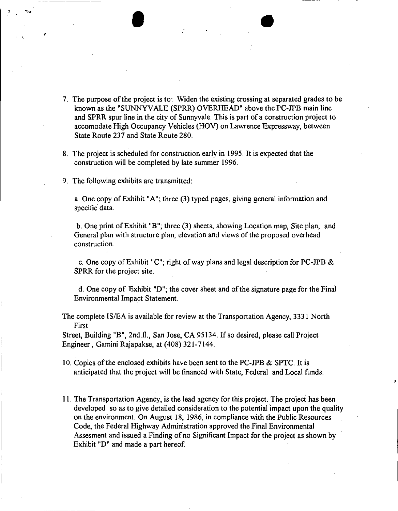

 $\bullet$ 

- 8. The project is scheduled for construction early in 1995. It is expected that the construction will be completed by late summer 1996.
- 9. The following exhibits are transmitted:

. '.

---------

f

a. One copy of Exhibit "A"; three (3) typed pages, giving general information and specific data.

b. One print of Exhibit "B"; three (3) sheets, showing Location map, Site plan, and General plan with structure plan, elevation and views of the proposed overhead construction.

c. One copy of Exhibit "C"; right of way plans and legal description for PC-JPB & SPRR for the project site.

d. One copy of Exhibit "0"; the cover sheet and of the signature page for the Final Environmental Impact Statement.

The complete IS/EA is available for review at the Transportation Agency, 3331 North First

Street, Building "B", 2nd.fl., San Jose, CA 95134. If so desired, please call Project Engineer, Gamini Rajapakse, at (408) 321-7144.

- 10. Copies of the enclosed exhibits have been sent to the PC-JPB & SPTC. It is anticipated that the project will be financed with State, Federal and Local funds.
- 11. The Transportation Agency, is the lead agency for this project. The project has been developed so as to give detailed consideration to the potential impact upon the quality on the environment. On August 18, 1986, in compliance with the Public Resources Code, the Federal Highway Administration approved the Final Environmental Assesment and issued a Finding of no Significant Impact for the project as shown by Exhibit "D" and made a part hereof.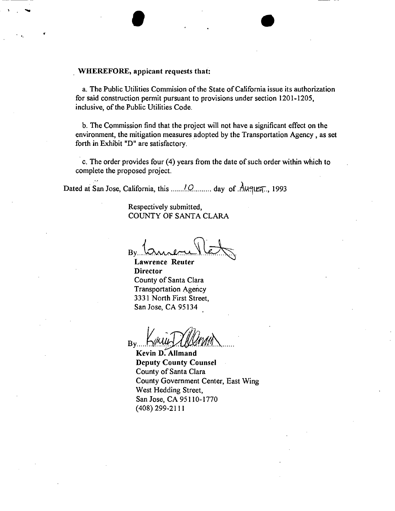### . WHEREFORE, appicant requests that:

'. • •

•••

a. The Public Utilities Commision of the State of California issue its authorization for said construction permit pursuant to provisions under section 1201-1205, inclusive, of the Public Utilities Code.

b. The Commission find that the project will not have a significant effect on the environment, the mitigation measures adopted by the Transportation Agency, as set forth in Exhibit "D" are satisfactory.

C. The order provides four (4) years from the date of such order within which to complete the proposed project.

Dated at San Jose, California, this *...... 10* day of August... 1993

Respectively submitted, COUNTY OF SANTA CLARA

 $Bv$ 

Lawrence Reuter **Director** County of Santa Clara Transportation Agency 3331 North First Street, San Jose, CA 95134

*/1, .. . 'IYi/}}* **By** Bound Allening

Kevin D. Allmand Deputy County Counsel County of Santa Clara County Government Center, East Wing West Hedding Street, San Jose, CA 95110-1770 (408) 299-2111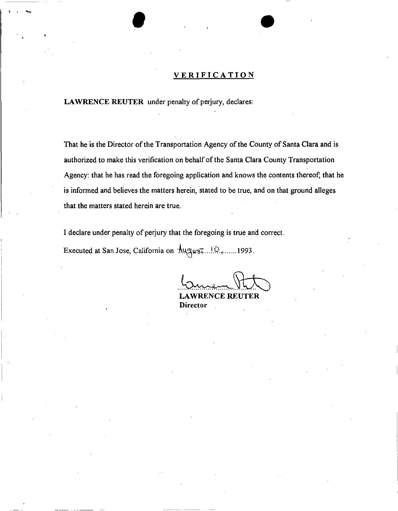### **VERIFICATION**

LAWRENCE REUTER under penalty of perjury, declares:

, . """ •

That he is the Director of the Transportation Agency of the County of Santa Clara and is authorized to make this verification on behalf of the Santa Clara County Transportation Agency: that he has read the foregoing application and knows the contents thereof; that he is informed and believes the matters herein, stated to be true, and on that ground alleges that the matters stated herein are true.

I declare under penalty of perjury that the foregoing is true and correct.

Executed at San Jose, California on  $\frac{1}{2}\mathcal{U}$ .......1993.

.....<br>~ LAWRENCE REUTER

**Director**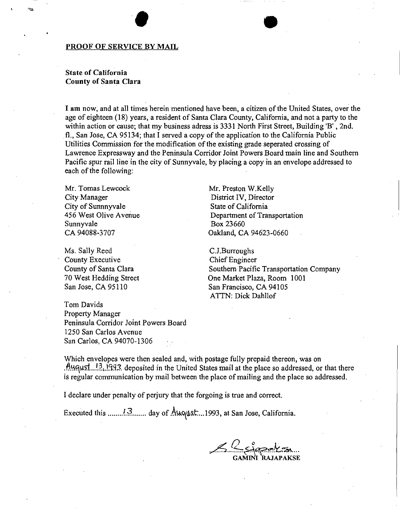### PROOF OF SERVICE BY MAIL

### State of California County of Santa Clara

I am now, and at all times herein mentioned have been, a citizen of the United States, over the age of eighteen (18) years, a resident of Santa Clara County, California, and not a party to the within action or cause; that my business adress is 3331 North First Street, Building 'B', 2nd. fl., San Jose, CA 95134; that I served a copy of the application to the California Public Utilities Commission for the modification of the existing grade seperated crossing of Lawrence Expressway and the Peninsula Corridor Joint Powers Board main line and Southern Pacific spur rail line in the city of Sunnyvale, by placing a copy in an envelope addressed to each of the following:

Mr. Tomas Lewcock City Manager City of Sunnnyvale 456 West Olive Avenue Sunnyvale CA 94088-3707

Ms. Sally Reed County Executive County of Santa Clara 70 West Hedding Street San Jose, CA 95110

Tom Davids Property Manager Peninsula Corridor Joint Powers Board 1250 San Carlos Avenue San Carlos, CA 94070-1306

Mr. Preston W.Kelly District IV, Director State of California Department of Transportation Box 23660 Oakland, CA 94623-0660

C.J.Burroughs Chief Engineer Southern Pacific Transportation Company One Market Plaza, Room 1001 San Francisco, CA 94105 ATTN: Dick DahlIof

•

Which envelopes were then sealed and, with postage fully prepaid thereon, was on .~.lf.q~s:t ...!21'!~~3. deposited in the United States mail at the place so addressed, or that there is regular communication by mail between the place of mailing and the place so addressed.

I declare under penalty of perjury that the forgoing is true and correct.

Executed this *.......*<sup>13</sup> day of Auqust...1993, at San Jose, California.

<u>Se Elepaksa</u>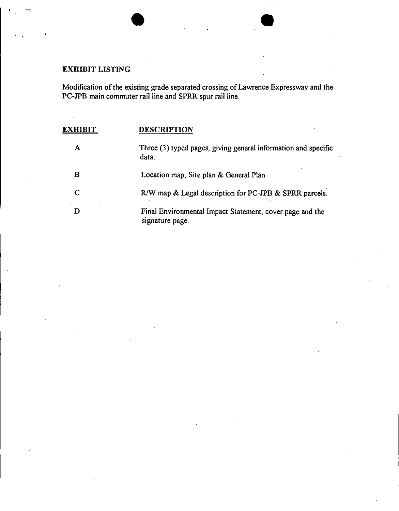## **EXHIBIT LISTING**

÷,

Modification of the existing grade separated crossing of Lawrence Expressway and the PC-1PB main commuter rail line and SPRR spur rail line.

. , •

| EXH | <b>DESCRIPTION</b>                                                          |
|-----|-----------------------------------------------------------------------------|
| А   | Three (3) typed pages, giving general information and specific<br>data.     |
| в   | Location map, Site plan & General Plan                                      |
| C   | R/W map & Legal description for PC-JPB & SPRR parcels.                      |
| D   | Final Environmental Impact Statement, cover page and the<br>signature page. |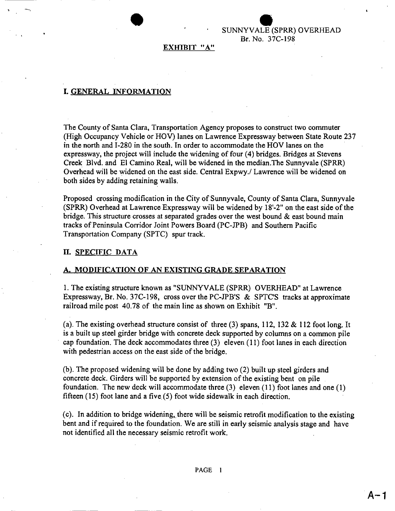SUNNYVAL<mark>I</mark> LE (SPR (SPRR) OVERHEAD Br. No. 37C-198

### EXHIBIT "A"

### I. GENERAL INFORMATION

•

-,

The County of Santa Clara, Transportation Agency proposes to construct two commuter (High Occupancy Vehicle or HOV) lanes on Lawrence Expressway between State Route 237 in the north and I-280 in the south. In order to accommodate the HOV lanes on the expressway, the project will include the widening of four (4) bridges. Bridges at Stevens Creek Blvd. and El Camino Real, will be widened in the median.The Sunnyvale (SPRR) Overhead will be widened on the east side. Central Expwy./ Lawrence will be widened on both sides by adding retaining walls.

Proposed crossing modification in the City of Sunnyvale, County of Santa Clara, Sunnyvale (SPRR) Overhead at Lawrence Expressway will be widened by 18'-2" on the east side of the bridge. This structure crosses at separated grades over the west bound  $\&$  east bound main tracks of Peninsula Corridor Joint Powers Board (PC-JPB) and Southern Pacific Transportation Company (SPTC) spur track.

### II. SPECIFIC DATA

### A. MODIFICATION OF AN EXISTING GRADE SEPARATION

1. The existing structure known as "SUNNYVALE (SPRR) OVERHEAD" at Lawrence Expressway, Br. No. 37C-198, cross over the PC-JPB'S & SPTC'S tracks at approximate railroad mile post 40.78 of the main line as shown on Exhibit "B".

(a). The existing overhead structure consist of three  $(3)$  spans, 112, 132 & 112 foot long. It is a built up steel girder bridge with concrete deck supported by columns on a common pile cap foundation. The deck accommodates three (3) eleven (11) foot lanes in each direction with pedestrian access on the east side of the bridge.

(b). The proposed widening will be done by adding two (2) built up steel girders and concrete deck. Girders will be supported by extension of the existing bent on pile foundation. The new deck will accommodate three (3) eleven (11) foot lanes and one (1) fifteen (15) foot lane and a five (5) foot wide sidewalk in each direction.

(c). In addition to bridge widening; there will be seismic retrofit modification to the existing bent and if required to the foundation. We are still in early seismic analysis stage and have not identified all the necessary seismic retrofit work.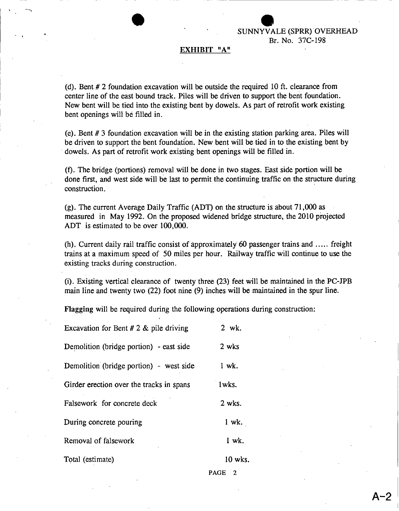SUNNYY WALE<br>Br. N ALE (SPRR) OVERHEA Br. No. 37C-198

### **EXHIBIT** "A"

•

..

(d). Bent # 2 foundation excavation will be outside the required 10 ft. clearance from center line of the east bound track. Piles will be driven to support the bent foundation. New bent will be tied into the existing bent by dowels. As part of retrofit work existing bent openings will be filled in.

(e). Bent # 3 foundation excavation will be in the existing station parking area. Piles will be driven to support the bent foundation, New bent will be tied in to the existing bent by . dowels. As part of retrofit work existing bent openings will be filled in.

(t). The bridge (portions) removal will be done in two stages. East side portion will be done first, and west side will be last to permit the continuing traffic on the structure during construction.

(g). The current Average Daily Traffic (ADT) on the structure is about 71,000 as measured in May 1992. On the proposed widened bridge structure, the 2010 projected ADT is estimated to be over 100,000.

(h). Current daily rail traffic consist of approximately 60 passenger trains and ..... freight trains at a maximum speed of 50 miles per hour. Railway traffic will continue to use the existing tracks during construction.

(i). Existing vertical clearance of twenty three (23) feet will be maintained in the PC-IPB main line and twenty two (22) foot nine (9) inches will be maintained in the spur line.

Flagging will be required during the following operations during construction:

| Excavation for Bent # 2 $&$ pile driving | 2 wk.     |  |  |
|------------------------------------------|-----------|--|--|
| Demolition (bridge portion) - east side  | 2 wks     |  |  |
| Demolition (bridge portion) - west side  | 1 wk.     |  |  |
| Girder erection over the tracks in spans | 1wks.     |  |  |
| Falsework for concrete deck              | 2 wks.    |  |  |
| During concrete pouring                  | $1$ wk.   |  |  |
| Removal of falsework                     | $1$ wk.   |  |  |
| Total (estimate)                         | $10$ wks. |  |  |

PAGE<sub>2</sub>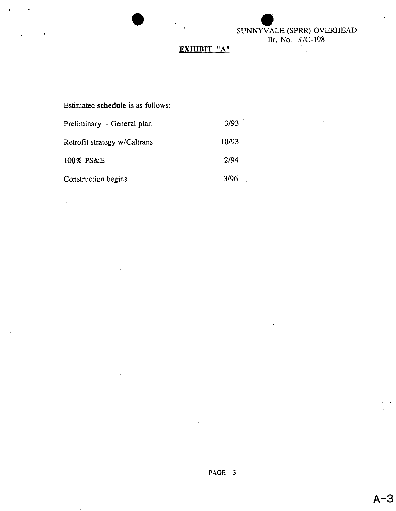## SUNNYVALI VALE ( (SPRR) OVERHEAD Br. No. 37C-198

## **EXHIBIT "A"**

•

| Estimated schedule is as follows: |       |  |  |  |  |
|-----------------------------------|-------|--|--|--|--|
| Preliminary - General plan        | 3/93  |  |  |  |  |
| Retrofit strategy w/Caltrans      | 10/93 |  |  |  |  |
| 100% PS&E                         | 2/94  |  |  |  |  |
| Construction begins               | 3/96  |  |  |  |  |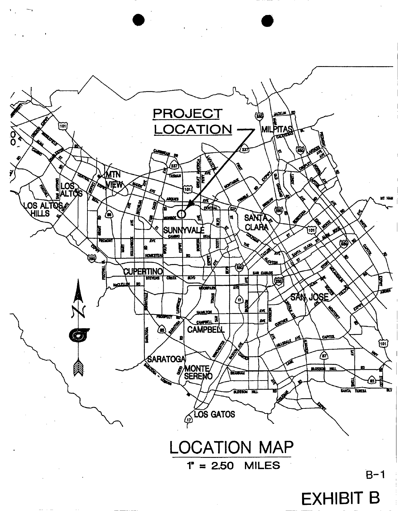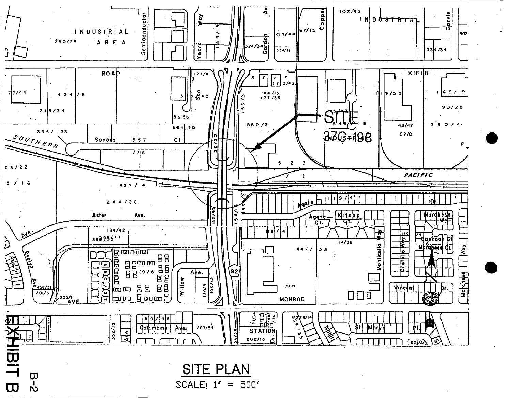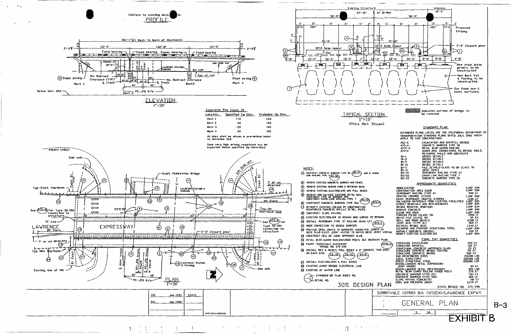

 $B-3$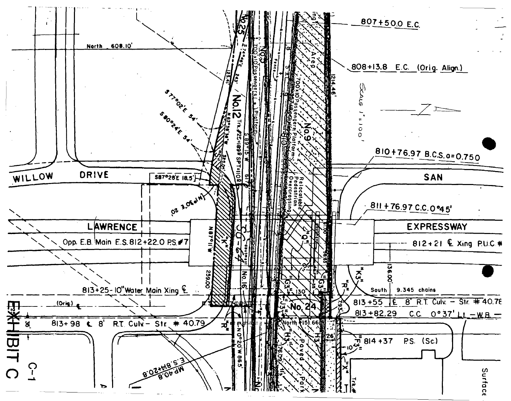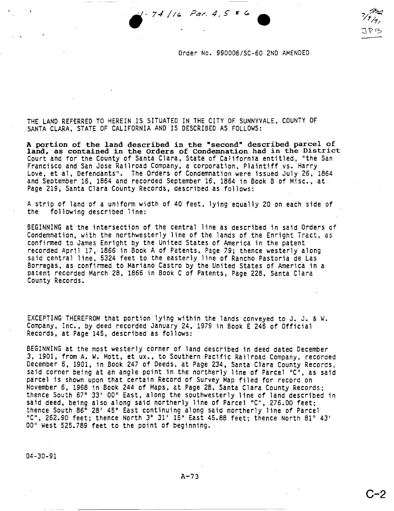<sup>74</sup> / *<sup>r</sup> « Par.* 4,5" *tt* Go **••** •



Order No. 990006/SC-60 2ND AMENDED

THE LAND REFERRED TO HEREIN IS SITUATED IN THE CITY OF SUNNYVALE, COUNTY OF SANTA CLARA, STATE OF CALIFORNIA AND IS DESCRIBED AS FOLLOWS:

A portion of the land described in the "second" described parcel of land, as contained in the Orders of Condemnation had in the District Court and for the County of Santa Clara, State of California entitled, "the San Francisco and San Jose Railroad Company, a corporation, Plaintiff vs. Harry Love, et aI, Defendants". The Orders of Condemnation were issued July 26, 1864 and September 16, 1864 and recorded September 16, 1864 in Book B of Misc., at Page 219, Santa Clara County Records, described as follows:

A strip of land of a uniform width of 40 feet, lying equally 20 on each side of the following described line:

BEGINNING at the intersection of the central line as described in said Orders of Condemnation, with the northwesterly line of the lands of the Enright Tract, as confirmed to James Enright by the United States of America in the patent recorded April 17, 1866 in Book A of Patents, Page 79; thence westerly along said central line, 5324 feet to the easterly line of Rancho Pastoria de Las Borregas, as confirmed to Mariano Castro by the United States of America in a patent recorded March 28, 1866 in Book C of Patents, Page 228, Santa Clara County Records.

EXCEPTING THEREFROM that portion lying within the lands conveyed to J. J. & W. Company, Inc., by deed recorded January 24, 1979 in Book E 246 of Official Records, at Page 145, described as follows:

BEGINNING at the most westerly corner of land described in deed dated December 3, 1901, from A. W. Matt, et UX., to Southern Pacific Railroad Company, recorded December 6, 1901, in Book 247 of Deeds, at Page 234, Santa Clara County Records, said corner being at an angle point in the northerly line of Parcel "C", as said parcel is shown upon that certain Record of Survey Map filed for record on November 6, 1968 in Book 244 of Maps, at Page 28, Santa Clara County Records; thence South 67° 33' 00" East, along the southwesterly line of land described in said deed, being also along said northerly line of Parcel "C", 276.00 feet; thence South 86° 28' 45" East continuing along said northerly line of Parcel "C", 262.90 feet; thence North 3° 31' 15" East 45.88 feet; thence North 81° 43' 00" West 525.789 feet to the point of beginning.

04-30-91

- ,

 $A-73$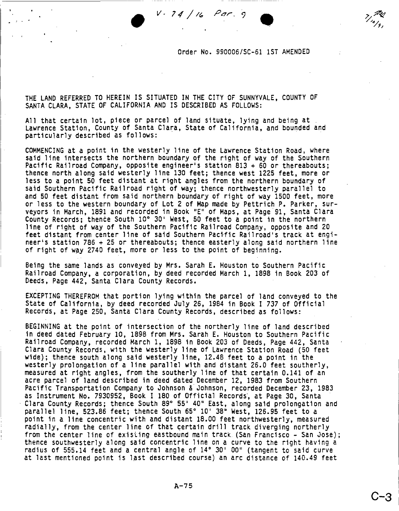Order No. 990006/SC-61 1ST AMENDED

•<br>•

THE LAND REFERRED TO HEREIN IS SITUATED IN THE CITY OF SUNNYVALE, COUNTY OF SANTA CLARA, STATE OF CALIFORNIA AND IS DESCRIBED AS FOLLOWS:

 $V - 74 / 16$  Par. 9

All that certain lot, piece or parcel of land situate, lying and being at Lawrence Station, County of Santa Clara, State of California, and bounded and particularly described as follows:

COMMENCING at a point in the westerly line of the Lawrence Station Road, where said line intersects the northern boundary of the right of way of the Southern Pacific Railroad Company, opposite engineer's station 813 + 60 or thereabouts; thence north along said westerly line 130 feet; thence west 1225 feet, more or less to a point 50 feet distant at right angles from the northern boundary of said Southern Pacific Railroad right of way; thence northwesterly parallel to and 50 feet distant from said northern boundary of right of way 1500 feet, more or less to the western boundary of Lot 2 of Map made by Pettrich P. Parker, surveyors in March, 1891 and recorded 1n Book "E" of Maps, at Page'91, Santa Clara County Records; thence South 10° 30' West, 50 feet to a point in the northern line of right of way of the Southern Pacific Railroad Company, opposite and 20 feet distant from center line of said Southern Pacific Railroad's track at engineer's station 786 + 25 or thereabouts; thence easterly along said northern line of right of way 2740 feet, more or less to the point of beginning.

Being the same lands as conveyed by Mrs. Sarah E. Houston to Southern Pacific Railroad Company, a corporation, by *deed* recorded March 1, 1898 in Book 203 of Deeds, Page 442, Santa Clara County Records.

EXCEPTING THEREFROM that portion lying within the parcel of land conveyed to the State of California, by deed recorded July 26, 1984 in Book I 737 of Official Records, at Page 250, Santa Clara County Records, described as follows:

BEGINNING at the point of intersection of the northerly line of land described in deed dated February 10, 1898 from Mrs. Sarah E. Houston to Southern Pacific Railroad Company, recorded March 1, 1898 in Book 203 of Deeds, Page 442, Santa Clara County Records, with the westerly line of Lawrence Station Road (50 feet wide); thence south along said westerly line, 12.48 feet to a point in the westerly prolongation of a line parallel with and distant 26.0 feet southerly, measured at right angles, from the southerly line of that certain 0.141 of an acre parcel of land described in deed dated December 12, 1983 from Southern Pacific Transportation Company to Johnson & Johnson, recorded December 23, 1983 as Instrument No. 7930952, Book I 180 of Official Records', at Page 30, Santa ' Clara County Records; thence South 89° 55' 40" East, along said prolongation and parallel line, 523.86 feet; thence South 65° 10' 38" West, 126.95 feet to a point in a line concentric with and distant 18.00 feet northwesterly, measured radially, from the center line of that certain drill track diverging northerly from the center line of exisiing eastbound main track (San Francisco - San Jose); thence southwesterly along said concentric line on a curve to the right having a radius of 555.14 feet and a central angle of 14° 30' 00" (tangent to said curve at last mentioned point is last described course) an arc distance of 140.49 feet

**C-3 I**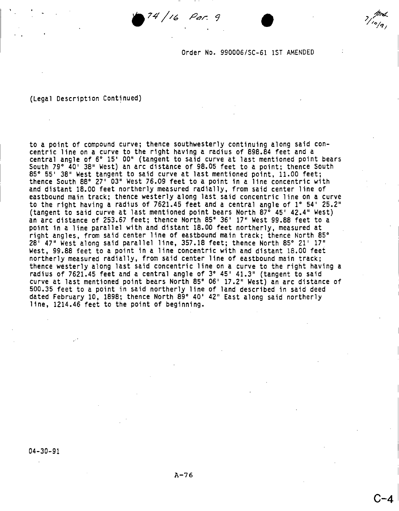Order No. 990006/SC-61 1ST AMENDED

### (Legal Description Continued)

to a point of compound curve; thence southwesterly continuing along said concentric line on a curve to the right having a radius of 898.84 feet and a central angle of 6° IS' 00" (tangent to said curve at last mentioned point bears South 79° 40' 38" West) an arc distance of 98.05 feet to a point; thence South 85° 55' 38" West tangent to said curve at last mentioned point, 11.00 feet; thence South 88° 27' 03" West 76.09 feet to a point in a line concentric with and distant 18.00 feet northerly measured radially, from said center line of eastbound main track; thence westerly along last said concentric line on a curve to the right having a radius of 7621.45 feet and a central angle of 1° 54' 25.2" (tangent to said curve at last mentioned point bears North 87° 45' 42.4" West) an arc distance of 253.67 feet; thence North 85° 36' 17" West 99.88 feet to a point in a line parallel with and distant 18.00 feet northerly, measured at right angles, from said center line of eastbound main track; thence North 85° 28' 47" West along said parallel line, 357.18 feet; thence North 85° 21' 17" West, 99.88 feet to a point in a line concentric with and distant 18.00 feet northerly measured radially, from said center line of eastbound main track; thence westerly along last said concentric line on a curve to the right having a radius of 7621.45 feet and a central angle of 3° 45' 41.3" (tangent to said curve at last mentioned point bears North 85° 06' 17.2" West) an arc distance of 500.35 feet to a point in said northerly line of land described in said deed dated February 10, 1898; thence North 89° 40' 42" East along said northerly line, 1214.46 feet to the point of beginning.

 $74/16$  Par. 9

04-30-91

**C-4**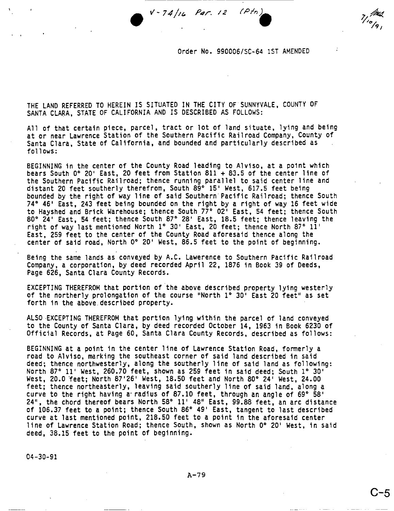$V - 74/16$  *Par.* 12  $(P/n)$ 

Order No. 990006/SC-64 1ST AMENDED

THE LAND REFERRED TO HEREIN IS SITUATED IN THE CITY OF SUNNYVALE, COUNTY OF SANTA CLARA, STATE OF CALIFORNIA AND IS DESCRIBED AS FOLLOWS:

All of that certain piece, parcel, tract or lot of land situate, lying and being at or near Lawrence Station of the Southern Pacific Railroad Company, County of Santa Clara, State of California, and bounded and particularly described as follows:

BEGINNING in the center of the County Road leading to Alviso, at a point which bears South 0° *20'* East, 20 feet from Station 811 + 83.5 of the center line of the Southern Pacific Railroad; thence running parallel to said center line and distant 20 feet southerly therefrom, South 89° 15' West, 617.5 feet being bounded by the right of way line of said Southern'Pacific Railroad; thence South 74° 46' East, 243 feet being bounded on the right by a right of way 16 feet wide to Hayshed and Brick Warehouse; thence South 77° 02' East, 54 feet; thence South 80° 24' East, 54 feet; thence South 87° 28' East, 18.5 feet; thence leaving the right of way last mentioned North 1° *30'* East, 20 feet; thence North 87° 11' East, 259 feet to the center of the County Road aforesaid thence along the center of said road, North 0° 20' West, 86.5 feet to the point of beginning.

Being the same lands as conveyed by A.C. Lawerence to Southern Pacific Railroad Company, a corporation, by deed recorded April 22, 1876 in Book 39 of Deeds, Page 626, Santa Clara County Records.

EXCEPTING THEREFROM that portion of the above described property lying westerly of the northerly prolongation of the course "North 1° *30'* East 20 feet" as set forth in the above,described property.

ALSO ,EXCEPTING THEREFROM that portion lying within the parcel of land conveyed to the County of Santa Clara, by deed recorded October 14, 1963 in Book 6230 of Official Records, at Page 60, Santa Clara County Records, described as follows:

BEGINNING at a point in the center line of Lawrence Station Road, formerly a road to Alviso, marking the southeast corner of said land described in said deed; thence northwesterly, along the southerly line of said land as following: North 87° 11' West, 260.70 feet, shown as 259 feet in said deed; South 1° 30' West, 20.0 feet; North 87'26' West, 18.50 feet and North 80° 24' West, 24.00 feet; thence northeasterly, leaving said southerly line of said land, along a curve to the right having a radius of 87.10 feet, through an angle of  $69^\circ$  58' 24", the chord thereof bears North 58° 11' 48" East, 99.88 feet, an arc distance of 106.37 feet to a point; thence South 86° 49' East, tangent to last described curve at last mentioned point, 218.50 feet to a point in the aforesaid center line of Lawrence Station Road; thence South, shown as North 0° 20' West, in said deed, 38.15 feet to the point of beginning.

04-30-91

**C-5**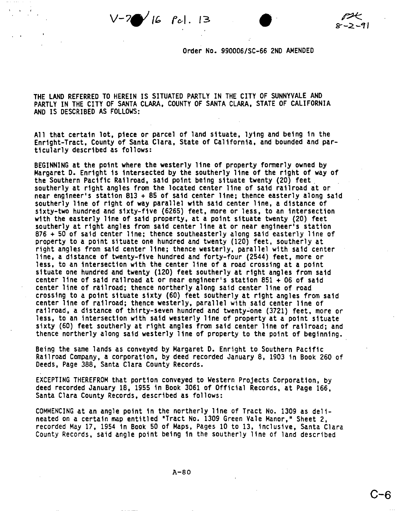$V-7$  16  $\lceil c \rceil$ . 13

Order No. 990006/SC-66 2ND AMENDED

THE LAND REFERRED TO HEREIN IS SITUATED PARTLY IN THE CITY OF SUNNYVALE AND PARTLY IN THE CITY OF SANTA CLARA, COUNTY OF SANTA CLARA, STATE OF CALIFORNIA AND IS DESCRIBED AS FOLLOWS:

All that certain lot, piece or parcel of land Situate, lying and being in the Enright-Tract, County of Santa Clara, State of California, and bounded and particularly described as follows:

BEGINNING at the point where the westerly line of property fonmerly owned by Margaret D. Enright is intersected by the southerly line of the right of way of the Southern Pacific Railroad, said point being situate twenty (20) feet. southerly at right angles from the located center line of said railroad at or near engineer's station 813 + 85 of said center line; thence easterly along said southerly line of right of way parallel with said center line, a distance of sixty-two hundred and sixty-five (6265) feet, more or less, to an intersection with the easterly line of said property, at a point Situate twenty (20) feet southerly at right angles from said center line at or near engineer's station 876 + 50 of said center line; thence southeasterly along said easterly line of property to a point situate one hundred and twenty (120) feet, southerly at right angles from said center line; thence westerly, parallel with said center line, a distance of twenty-five hundred and forty-four (2544) feet, more or less, to an intersection with the center line of a road crossing at a point situate one hundred and twenty (120) feet southerly at right angles from said center line of said railroad at or near engineer's station 851 + 06 of said center line of railroad; thence northerly along said center line of road crossing to a point situate sixty (60) feet southerly at right angles from said center line of railroad; thence westerly, parallel with said center line of railroad, a distance of thirty-seven hundred and twenty-one (3721) feet, more or less, to an intersection with said westerly line of property at a point situate sixty (60) feet southerly at right angles from said center line of railroad; and thence northerly along said westerly line of property to the point of beginning.

Being the same lands as conveyed by Margaret D. Enright to Southern Pacific Railroad Company, a corporation, by deed recorded January 8, 1903 in Book 260 of Deeds, Page 388, Santa Clara County Records.

EXCEPTING THEREFROM that portion conveyed to Western Projects Corporation, by deed recorded January 18, 1955 in Book 3061 of Official Records, at Page 166, Santa Clara County Records, described as follows:

COMMENCING at an angle point in the northerly line of Tract No. 1309 as delineated on a certain map entitled "Tract No. 1309 Green Vale Manor," Sheet 2, recorded May 17, 1954 in Book 50 of Maps, Pages 10 to 13, inclusive, Santa Clara County Records, said angle point being in the southerly line of land described

 $A-80$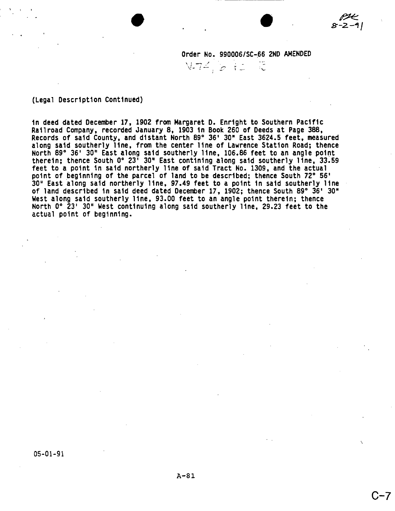$N$ -74,  $a$  is  $a$  .

(Legal Description Continued)

· .

in deed dated December 17, 1902 from Margaret D. Enright to Southern Pacific Railroad Company, recorded January 8, 1903 in Book 260 of Deeds at Page 388, Records of said County, and distant North 89° 36' 30· East 3624.5 feet, measured along said southerly line, from the center line of Lawrence Station Road; thence North 89° 36' 3D" East along said southerly line, 106.86 feet to an angle point therein; thence South 0° 23' 30" East contining along said southerly line, 33.59 feet to a point in said northerly line of said Tract No. 1309, and the actual point of beginning of the parcel of land to be described; thence South 72° 56' 30" East along said northerly line, 97.49 feet to a point in said southerly line of land described in said deed dated December 17, 1902; thence South 89° 36' 30" West along said southerly line, 93.00 feet to an angle point therein; thence North 0° 23' 3D" West continuing along said southerly line, 29.23 feet to the actual point of beginning.

C-7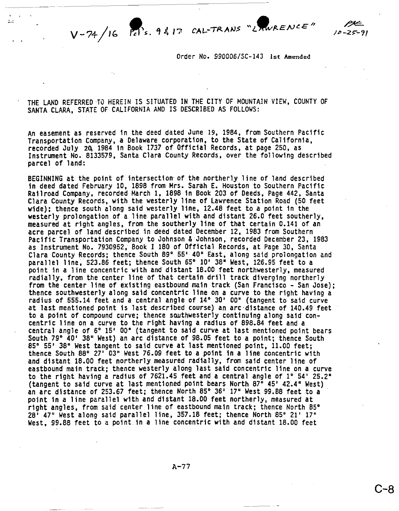C-8

Order No. *99DDD61SC-143* 1st Amended

THE LAND REFERRED TO HEREIN IS SITUATED IN THE CITY OF MOUNTAIN VIEW, COUNTY OF SANTA CLARA, STATE OF CALIFORNIA AND IS DESCRIBED AS FOLLOWS:

 $\mathbf{r}$ 

An easement as reserved in the deed dated June 19, 1984, from Southern Pacific Transportation Company, a Delaware corporation, to the State of California, recorded July 20, 1984 in Book 1737 of Official Records, at page 250, as Instrument No. 8133579, Santa Clara County Records, over the following described parcel of land:

BEGINNING at the point of intersection of the northerly line of land described in deed dated February 10, 1898 from Mrs. Sarah E. Houston to Southern Pacific Railroad Company, recorded March I, 1898 in Book 203 of Deeds, Page 442, Santa Clara County Records, with the westerly line of Lawrence Station Road (50 feet wide); thence south along said westerly line, 12.48 feet to a point in the westerly prolongation of a line parallel with and distant 26.0 feet southerly, measured at right angles, from the southerly line of that certain 0.141 of an acre parcel of land described in deed dated December 12, 1983 from Southern Pacific Transportation Company to Johnson & Johnson, recorded December 23, 1983 as Instrument No. 7930952, Book I 180 of Official Records, at Page 3D, Santa Clara County Records; thence South 89° 55' 40" East, along said prolongation and parallel line, 523.86 feet; thence South 65° 10' 38" West, 126.95 feet to a point in a line concentric with and distant 18.00 feet northwesterly, measured radially, from the center line of that certain drill track diverging northerly from the center line of existing eastbound main track (San Francisco - San Jose); thence southwesterly along said concentric line on a curve to the right having a radius of 555.14 feet and a central angle of 14° 30' 00" (tangent to said curve at last mentioned point is last described course) an arc'distance of 140.49 feet to a point of compound curve; thence southwesterly continuing along said concentric line on a curve to the right having a radius of 898.84 feet and a central angle of 6° 15' 00" (tangent to said curve at last mentioned point bears South 79° 40' 38" West) an arc distance of 98.05 feet to a point; thence South 85° 55' 38" West tangent to said curve at last mentioned point, 11.00 feet: thence South 88° 27' 03" West 76.09 feet to a point in a line concentric with and distant 18.00 feet northerly measured radially, from said center line of eastbound main track; thence westerly along last said concentric line on a curve to the right having a radius of 7621.45 feet and a central angle of 1° 54' 25.2" (tangent to said curve at last mentioned polnt bears North 87° 45' 42.4" West) an arc distance of 253.67 feet; thence North 85° 36' 17" West 99.88 feet to a ' point in a line parallel with and distant 18.00 feet northerly, measured at right angles, from said center line of eastbound main track; thence North 85° 28' 47" West along said parallel line, 357.18 feet; thence North 85° 21' 17" West, 99.88 feet to a point, in a line concentric with and distant 18.00 feet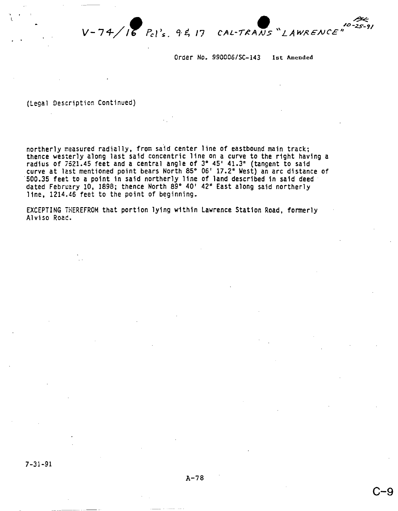e */O~I C.AL-TI?AJJS "L A W~ €NC'E 1/*

Order No. *990006/SC-143* 1st Amended

(Legal Description Continued)

. .

northerly measured radially, from said center line of eastbound main track; thence westerly along last said concentric line on a curve to the right having a radius of 7521.45 feet and a central angle of 3° 45' 41.3" (tangent to said curve at last mentioned point bears North 85° 06' 17.2" West) an arc distance of 500.35 feet to a point in said northerly line of land described in said deed dated February 10, 1898; thence North 89° 40' 42" East along said northerly line, 1214.46 feet to the point of beginning.

EXCEPTING THEREFROM that portion lying within Lawrence Station Road, formerly Alviso Roac.

**C-9**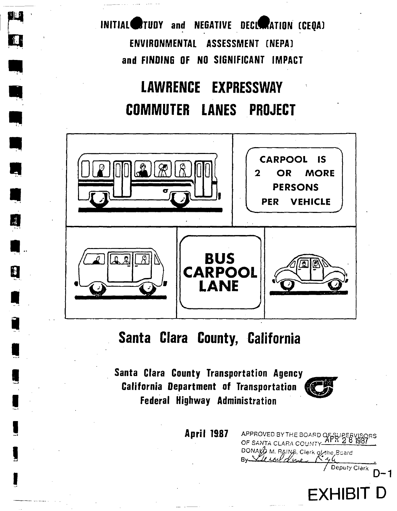INITIAL STUDY and NEGATIVE DECIMATION (CEQA) ENVIRONMENTAL ASSESSMENT (NEPA) and FINDING OF NO SIGNIFICANT IMPACT

ম যুক্ত

Ŗ

Q

l

# **LAWRENCE EXPRESSWAY COMMUTER LANES PROJECT**



# Santa Clara County, California

Santa Clara County Transportation Agency **California Department of Transportation Federal Highway Administration** 



Deputy Clerk

**EXHIBIT D** 

 $D-1$ 

APPROVED BY THE BOARD OF SUPERVISORS<br>OF SANTA CLARA COUNTY APRESS 1987

DONAYO M. RAINS. Clerk of the Beard

**April 1987**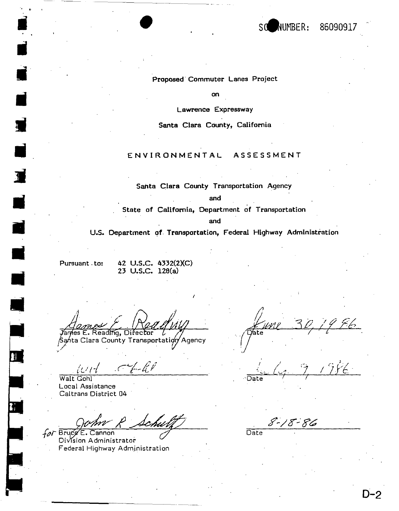

### Proposed Commuter Lanes Project

on

Lawrence Expressway

Santa Clara County, California

### ENVIRONMENTAL ASSESSMENT

Santa Clara County Transportation Agency

and

State of California, Department of Transportation

and

U.S. Department of Transportation, Federal Highway Administration

Pursuant - to:

42 U.S.C. 4332(2)(C) 23 U.S.C. 128(a)

Yames E. Reading, Director Santa Clara County Transportation Agency

Walt Gohl Local Assistance Caltrans District 04

for Brugg E. Cannon Division Administrator Federal Highway Administration

Date

8-18-86

 $\overline{Date}$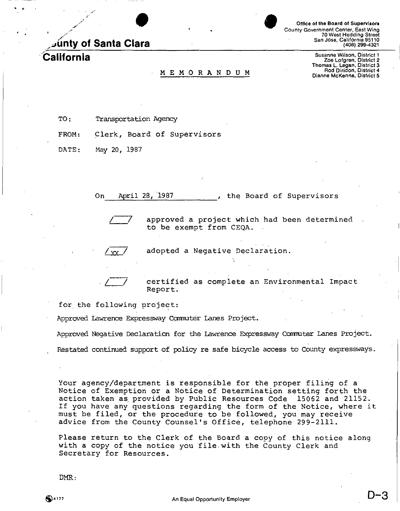*-:* **/.;Junty of Santa Clara**

· "

Office of the Board of Supervisors County Government Center, East Wing 70 West Hedding Stree<br>San Jose, California 95110 (408) 299-4321

**California** Susanne Wilson, District 1<br>Zoe Lofgren, District 2<br>Thomas L. Legan, District 3 M E M O R A N D U M M CARA DO R A N D U M DIAN DISTRICT 4

I

TO: Transportation Agency

FROM: Clerk, Board of Supervisors

DATE: May 20, 1987

On April 28, 1987 . The Board of Supervisors

approved a project which had been determined to be exempt from CEQA.

adopted a Negative Declaration.

YY

certified as complete an Environmental Impact Report.

for the following project:

Approved Lawrence Expressway Carmuter Lanes Project.

Approved Negative Declaration for the Lawrence Expressway Conmuter Lanes Project.

Restated continued support of policy re safe bicycle access to County expressways.

Your agency/department is responsible for the proper filing of a Notice of Exemption or a Notice of Determination setting forth the action taken as provided by Public Resources Code 15062 and 21152. If you have any questions regarding the form of the Notice, where it must be filed, or the procedure to be followed, you may receive advice from the County Counsel's Office, telephone 299-211l.

Please return to the Clerk of the Board a copy of this notice along with a copy of the notice you file, with the County Clerk and Secretary for Resources.

DMR: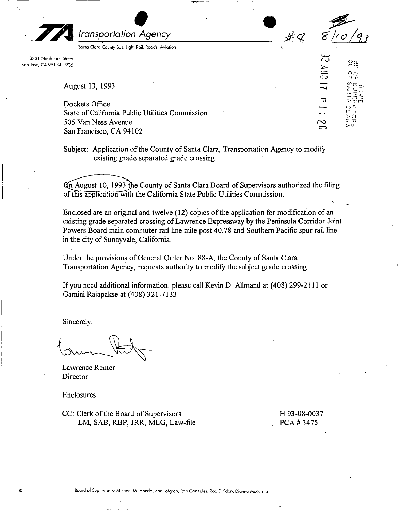*Transportation*  $\bigcirc$ *Agency*

Sonlo Clara County Bus, light 'Rail, Roads, Aviation

3331 North First Street San Jose, CA 95134·1906

August 13, 1993

Dockets Office State of California Public Utilities Commission 505 Van Ness Avenue San Francisco, CA 94102

Subject: Application of the County of Santa Clara, Transportation Agency to modify existing grade separated grade crossing.

Con August 10, 1993 the County of Santa Clara Board of Supervisors authorized the filing of this application with the California State Public Utilities Commission.

Enclosed are an original and twelve (12) copies of the application for modification of an existing grade separated crossing of Lawrence Expressway by the Peninsula Corridor Joint Powers Board main commuter rail line mile post 40.78 and Southern Pacific spur rail line in the city of Sunnyvale, California.

Under the provisions of General Order No. 88-A, the County of Santa Clara Transportation Agency, requests authority to modify the subject grade crossing.

If you need additional information, please call Kevin D. Allmand at (408) 299-2111 or Gamini Rajapakse at (408) 321-7133.

Sincerely,

Lawrence Reuter **Director** 

Enclosures

CC: Clerk of the Board of Supervisors LM, SAB, RBP, JRR, MLG, Law-file H 93-08-0037 PCA # 3475

 $\bullet$ 

 $\rightarrow$ 

*~ /(0 /q]*

33 AllG

Φ

2

( $\mathfrak{p}_{\mathrm{fB}}$  $\approx$  $\frac{\pi}{2}$  $\frac{6}{5}$  $\cdot$  ,  $\cdot$ 

Board of Supervisors: Michael M. Honda, Zoe lofgren, Ron Gonzales, Rod Diridon, Dionne McKenna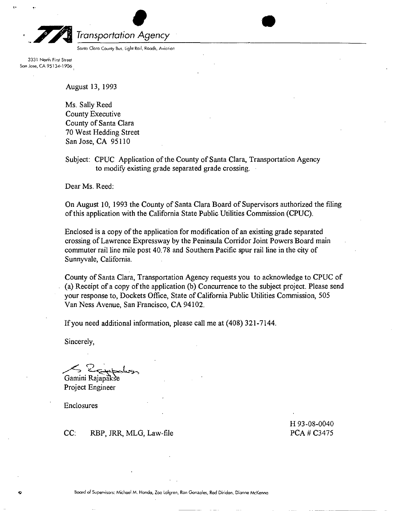

*Transportation* •<br>• Agenc *Agency* Roads, Aviation •

Sonto Claro County Bus, Light Rail,

3331 North First Street San Jose, CA 95134·1906 .

August 13, 1993

Ms. Sally Reed County Executive County of Santa Clara 70 West Hedding Street San Jose, CA 95110

Subject: CPUC Application of the County of Santa Clara, Transportation Agency to modify existing grade separated grade crossing.

Dear Ms. Reed:

On August 10, 1993 the County of Santa Clara Board of Supervisors authorized the filing of this application with the California State Public Utilities Commission (CPUC).

Enclosed is a copy of the application for modification of an existing grade separated crossing of Lawrence Expressway by the Peninsula Corridor Joint Powers Board main commuter rail line mile post 40.78 and Southern Pacific spur rail line in the city of Sunnyvale, California.

County of Santa Clara, Transportation Agency requests you to acknowledge to CPUC of (a) Receipt ofa copy of the application (b) Concurrence to the subject project. Please send your response to, Dockets Office, State of California Public Utilities Commission, 505 Van Ness Avenue, San Francisco, CA 94102.

If you need additional information, please call me at (408) 321-7144.

Sincerely,

 $\Omega$   $\ddot{\Omega}$  $\leq$ Certaine Gamini Rajapakse

Project Engineer

Enclosures

CC: RBP, JRR, MLG, Law-file

H 93-08-0040 PCA# C3475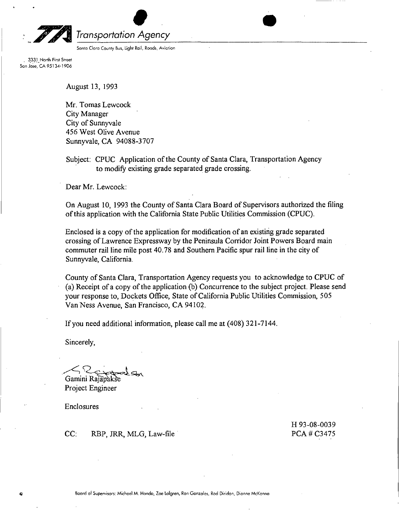

*Transportation* de Agence *Agency*

Santa Clora County Bus, Light Rail, Roads, Aviatio

3331 North First Street San Jose, CA 95134·1906

August 13, 1993

Mr. Tomas Lewcock City Manager City of Sunnyvale 456 West Olive Avenue Sunnyvale, CA 94088-3707

Subject: CPUC Application of the County of Santa Clara, Transportation Agency to modify existing grade separated grade crossing.

Dear Mr. Lewcock:

On August 10, 1993 the County of Santa Clara Board of Supervisors authorized the filing of this application with the California State Public Utilities Commission (CPUC).

•

Enclosed is a copy of the application for modification of an existing grade separated crossing of Lawrence Expressway by the Peninsula Corridor Joint Powers Board main commuter rail line mile post 40.78 and Southern Pacific spur rail line in the city of Sunnyvale, California.

County of Santa Clara, Transportation Agency requests you to acknowledge to CPUC of (a) Receipt ofa copy of the application (b) Concurrence to the subject project. Please send your response to, Dockets Office, State of California Public Utilities Commission, 505 Van Ness Avenue, San Francisco, CA 94102.

If you need additional information, please call me at (408) 321-7144.

Sincerely,

 $25.1$  $12$ croaler Gamini RajapakSe

Project Engineer

Enclosures

CC: RBP, JRR, MLG, Law-file

H 93-08-0039 PCA# C3475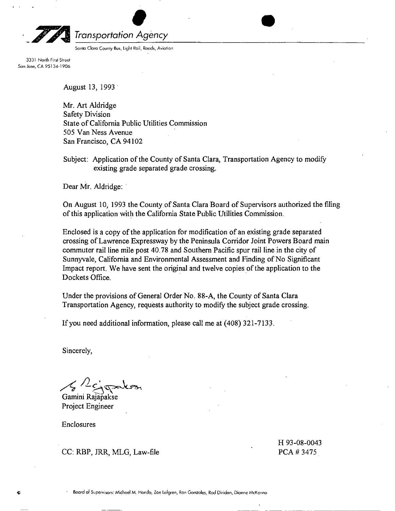

# *Transportation* •<br>• Agenc *Agency*

Sonto Claro County Bus, light Rail, Roods, Aviation

3331 North First Street San Jose, CA 95134-1906

August 13, 1993 -

Mr. Art Aldridge Safety Division State of California Public Utilities Commission 505 Van Ness Avenue San Francisco, CA 94102

Subject: Application of the County of Santa Clara, Transportation Agency to modify existing grade separated grade crossing.

•

Dear Mr. Aldridge:

On August 10, 1993 the County of Santa Clara Board of Supervisors authorized the filing of this application with the California State Public Utilities Commission.

Enclosed is a copy of the application for modification of an existing grade separated crossing of Lawrence Expressway by the Peninsula Corridor Joint Powers Board main commuter rail line mile post 40.78 and Southern Pacific spur rail line in the city of Sunnyvale, California and Environmental Assessment and Finding of No Significant Impact report. We have sent the original and twelve copies of the application to the Dockets Office.

Under the provisions of General Order No. 88-A, the County of Santa Clara Transportation Agency, requests authority to modify the subject grade crossing.

If you need additional information, please call me at  $(408)$  321-7133.

Sincerely,

 $A$ <sup>2</sup> $2$ 

Gamini Rajapakse Project Engineer

Enclosures

CC: RBP, JRR, MLG, Law-file

H 93-08-0043 PCA# 3475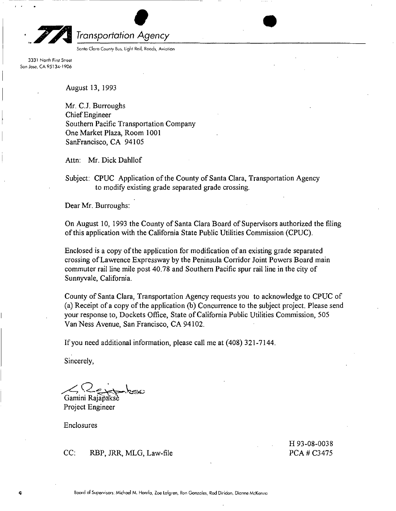

*Agency* gency<br>
Roads, Aviation

Sonto Claro County BU\$, light Rail,

3331 North First Street Son Jose, CA 95134-1906

August 13, 1993

--------- ----------

Mr. C.J. Burroughs Chief Engineer Southern Pacific Transportation Company One Market Plaza, Room 1001 SanFrancisco, CA 94105

Attn: Mr. Dick Dahllof

Subject: CPUC Application of the County of Santa Clara, Transportation Agency to modify existing grade separated grade crossing.

Dear Mr. Burroughs:

On August 10, 1993 the County of Santa Clara Board of Supervisors authorized the filing of this application with the California State Public Utilities Commission (CPUC).

Enclosed is a copy of the application for modification of an existing grade separated crossing of Lawrence Expressway by the Peninsula Corridor Joint Powers Board main commuter rail line mile post 40.78 and Southern Pacific spur rail line in the city of Sunnyvale, California.

County of Santa Clara, Transportation Agency requests you to acknowledge to CPUC of (a) Receipt ofa copy of the application (b) Concurrence to the subject project. Please send your response to, Dockets Office, State of California Public Utilities Commission, 505 Van Ness Avenue, San Francisco, CA 94102.

If you need additional information, please call me at (408) 321-7144.

Sincerely,

Gamini Rajapakse

Project Engineer

Enclosures

CC: RBP, JRR, MLG, Law-file

H 93-08-0038 PCA# C3475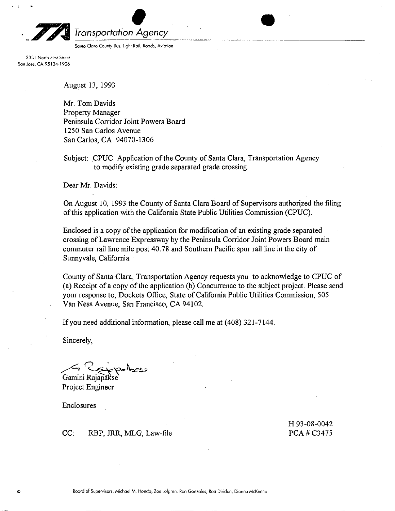

*Agency* ency<br>Broads, Aviation • 1999<br>Roads, Aviation

Sonia Clara County Bus, light Roil,

3331 North First Street Son Jose, CA 95134·1906

August 13, 1993

Mr. Tom Davids Property Manager Peninsula Corridor Joint Powers Board 1250 San Carlos Avenue San Carlos, CA 94070-1306

Subject: CPUC Application of the County of Santa Clara, Transportation Agency to modify existing grade separated grade crossing.

Dear Mr. Davids:

On August 10, 1993 the County of Santa Clara Board of Supervisors authorized the filing of this application with the California State Public Utilities Commission (CPUC).

Enclosed is a copy of the application for modification of an existing grade separated crossing of Lawrence Expressway by the Peninsula Corridor Joint Powers Board main commuter rail line mile post 40.78 and Southern Pacific spur rail line in the city of Sunnyvale, California.

County of Santa Clara, Transportation Agency requests you to acknowledge to CPUC of (a) Receipt ofa copy of the application (b) Concurrence to the subject project. Please send your response to, Dockets Office, State of California Public Utilities Commission, 505 Van Ness Avenue, San Francisco, CA 94102.

If you need additional information, please call me at (408) 321-7144.

Sincerely,

*n .* ~'~~:~~~ Gamini Rajapakse

Project Engineer

Enclosures

CC: RBP, JRR, MLG, Law-file

H 93-08-0042 PCA # C3475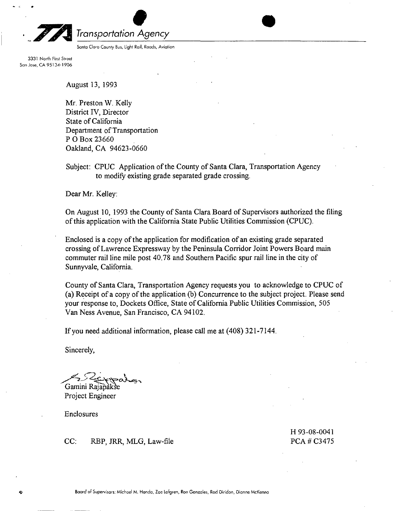

*Agency*

Santa Clore County Bus, Light Rail, Roods, Aviation

3331 North First Street Son Jose, CA 95134-1906

August 13, 1993

Mr. Preston W. Kelly District IV, Director State of California Department of Transportation POBox 23660 Oakland, CA 94623-0660

Subject: CPUC Application of the County of Santa Clara, Transportation Agency to modify existing grade separated grade crossing.

Dear Mr. Kelley:

On August 10, 1993 the County of Santa Clara Board of Supervisors authorized the filing of this application with the California State Public Utilities Commission (CPUC).

•

Enclosed is a copy of the application for modification of an existing grade separated crossing of Lawrence Expressway by the Peninsula Corridor Joint Powers Board main commuter rail line mile post 40.78 and Southern Pacific spur rail line in the city of Sunnyvale, California.

County of Santa Clara, Transportation Agency requests you to acknowledge to CPUC of (a) Receipt ofa copy of the application (b) Concurrence to the subject project. Please send your response to, Dockets Office, State of California Public Utilities Commission, 505 Van Ness Avenue, San Francisco, CA 94102.

If you need additional information, please call me at (408) 321-7144.

Sincerely,

 $\sqrt{2Z_c}$   $\times$ Gamini Rajapak

Project Engineer

Enclosures

CC: RBP, JRR, MLG, Law-file

H93-08-0041 PCA# C3475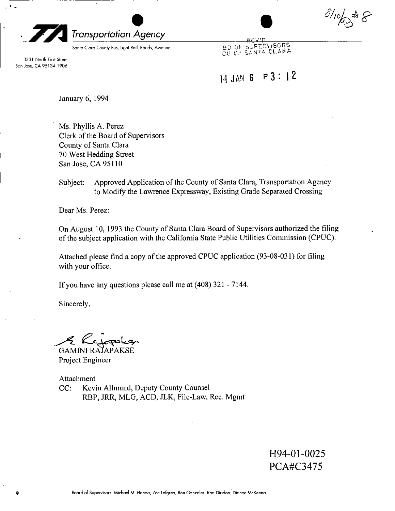. ! -

# *Transportation* Agene *Agency*

Santa Clara County Bus, Light Rail, Roods, Aviation

3331 North First Street San Jose, CA 95134·1906

ℷ¥⊱

BD OF SUPERVISORS

# 14 JAN 6 P 3: I 2

January 6, 1994

Ms. Phyllis A. Perez Clerk of the Board of Supervisors County of Santa Clara 70 West Hedding Street San Jose, CA 95110

### Subject: Approved Application of the County of Santa Clara, Transportation Agency to Modify the Lawrence Expressway, Existing Grade Separated Crossing

Dear Ms. Perez:

On August 10, 1993 the County of Santa Clara Board of Supervisors authorized the filing of the subject application with the California State Public Utilities Commission (CPUC).

Attached please find a copy of the approved CPUC application (93-08-031) for filing with your office.

If you have any questions please call me at (408) 321 - 7144.

Sincerely,

.A- ec:~

GAMINI RAjAPAKSE Project Engineer

Attachment CC: Kevin Allmand, Deputy County Counsel RBP, JRR, MLG, ACD, JLK, File-Law, Rec. Mgmt

> H94-01-0025 PCA#C3475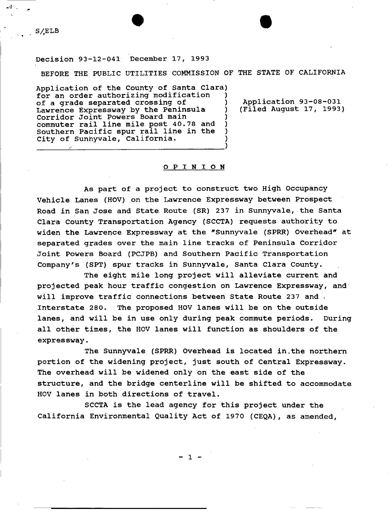### S/ELB

Decision 93-12-041 December 17, 1993

•

BEFORE THE PUBLIC UTILITIES COMMISSION OF THE STATE OF CALIFORNIA

Application of the County of Santa Clara) for an order authorizing modification of a grade separated crossing of Lawrence Expressway by the Peninsula Corridor Joint Powers Board main ) commuter rail line mile post 40.78 and Southern Pacific spur rail line in the City of Sunnyvale, California.

------~----------------------------)

Application 93-08-031 (Filed August 17, 1993)

#### o PIN **ION**

As part of a project to construct two High Occupancy Vehicle Lanes (HOV) on the Lawrence Expressway between Prospect Road in San Jose and State Route (SR) 237 in Sunnyvale, the Santa Clara County Transportation Agency (SCCTA) requests authority to widen the Lawrence Expressway at the "Sunnyvale (SPRR) Overhead" at separated grades over the main line tracks of Peninsula Corridor Joint Powers Board (PCJPB) and Southern Pacific Transportation Company's (SPT) spur tracks in Sunnyvale, Santa Clara County.

The eight mile long project will alleviate current and projected peak hour traffic congestion on Lawrence Expressway, and will improve traffic connections between State Route 237 and . Interstate 280. The proposed HOV lanes will be on the outside lanes, and will be in use only during peak commute periods. During all other times, the HOV lanes will function as shoulders of the expressway.

The Sunnyvale (SPRR) Overhead is located in.the northern portion of the widening project, just south of Central Expressway. The overhead will be widened only on the east side of the structure, and the bridge centerline will be shifted to accommodate HOV lanes in both directions of travel.

SCCTA is the lead agency for this project under the California Environmental Quality Act of 1970 (CEQA), as amended,

- 1 -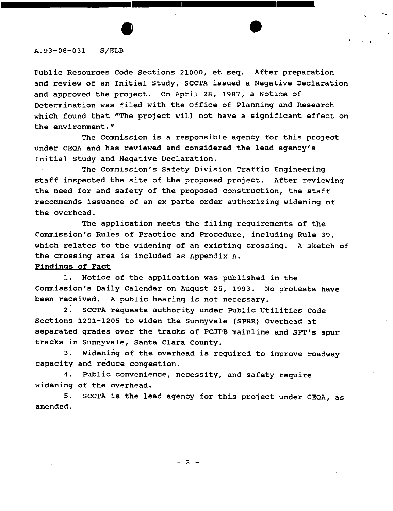### A.93-08-031 S/ELB

Public Resources Code sections 21000, et seq. After preparation and review of an Initial study, SCCTA issued a Negative Declaration and approved the project. On April 28, 1987, a Notice of Determination was filed with the Office of Planning and Research which found that "The project will not have a significant effect on the environment."

 $\bullet$  ,  $\frac{1}{\sqrt{2}}$ 

**••••••••••••••••••••••••••••••••••••**

The Commission is a responsible agency for this project under CEQA and has reviewed and considered the lead agency's Initial study and Negative Declaration.

The Commission's Safety Division Traffic Engineering staff inspected the site of the proposed project. After reviewing the need for and safety of the proposed construction, the staff recommends issuance of an ex parte order authorizing widening of the overhead.

The application meets the filing requirements of the Commission's Rules of Practice and Procedure, including Rule 39, which relates to the widening of an existing crossing. A sketch of the crossing area is included as Appendix A.

### Findings of Fact

1. Notice of the application was published in the Commission's Daily Calendar on August 25, 1993. No protests have been received. A public hearing is not necessary.

2. SCCTA requests authority under Public utilities Code Sections 1201-1205 to widen the Sunnyvale (SPRR) Overhead at separated grades over the tracks of PCJPB mainline and SPT's spur tracks in Sunnyvale, Santa Clara county.

3. Widening of the overhead is required to improve roadway capacity and reduce congestion.

4. Public convenience, necessity, and safety require widening of the overhead.

5. SCCTA is the lead agency for this project under CEQA, as amended.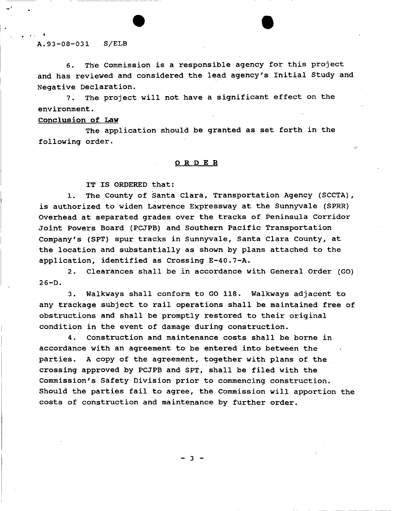### A.93-08-031 S/ELB

, ,

6. The Commission is a responsible agency for this project and has reviewed and considered the lead agency's Initial Study and Negative Declaration.

7. The project will not have a significant effect on the environment.

### Conclusion of Law

The application should be granted as set forth in the following order.

### OR D E R

IT IS ORDERED that:

•

1. The County of Santa Clara, Transportation Agency (SCCTA), is authorized to widen Lawrence Expressway at the Sunnyvale (SPRR) Overhead at separated grades over the tracks of Peninsula Corridor Joint Powers Board (PCJPB) and Southern Pacific Transportation Company's (8PT) spur tracks in sunnyvale, Santa Clara County, at the location and substantially as shown by plans attached to the application, identified as Crossing E-40.7-A.

2. Clearances shall be in accordance with General Order (GO)  $26-D.$ 

3. Walkways shall conform to GO 118. Walkways adjacent to any trackage subject to rail operations shall be maintained free of obstructions and shall be promptly restored to their original condition in the event of damage during construction.

4. Construction and maintenance costs shall be borne in accordance with an agreement to be entered into between the parties. A copy of the agreement, together with plans of the crossing approved by PCJPB and SPT, shall be filed with the Commission's Safety Division prior to commencing construction. Should the parties fail to agree, the Commission will apportion the costs of construction and maintenance by further order.

 $\overline{\mathbf{3}}$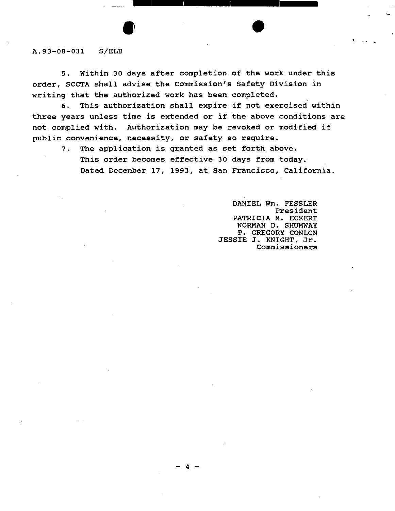### A.93-08-03l S/ELB

5. within 30 days after completion of the work under this order, SCCTA shall advise the Commission's Safety Division in writing that the authorized work has been completed.

**•• <sup>1</sup> ••••••••••••••••••••••**

6. This authorization shall expire if not exercised within three years unless time is extended or if the above conditions are not complied with. Authorization may be revoked or modified if public convenience, necessity, or safety so require.

 $- 4 -$ 

7. The application is granted as set forth above. This order becomes effective 30 days from today. Dated December 17, 1993, at San Francisco, California.

> DANIEL Wm. FESSLER President PATRICIA M. ECKERT NORMAN D. SHUMWAY P. GREGORY CONLON JESSIE J. KNIGHT, Jr. Commissioners

I•

 $\bullet$  ,  $\bullet$  ,  $\bullet$  ,  $\bullet$  ,  $\bullet$  ,  $\bullet$  ,  $\bullet$  ,  $\bullet$  ,  $\bullet$  ,  $\bullet$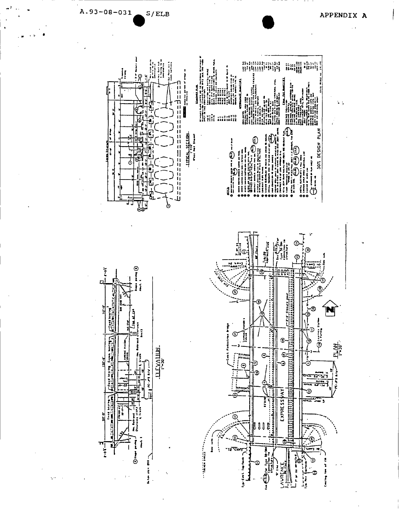

 $A.93 - 08 - 031$  $S/ELB$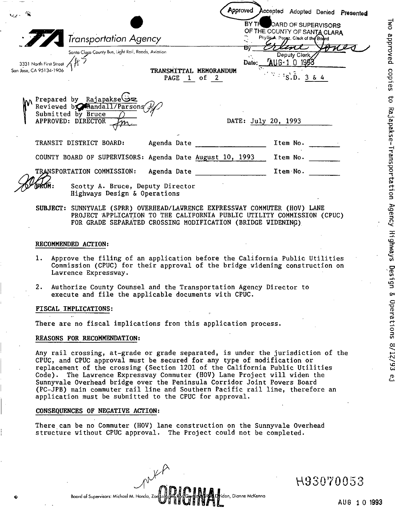|                                                         |                                                                                                                                                                                                                     |                                       | BY THE              |          | OARD OF SUPERVISORS                                                                                  | Approved Accepted Adopted Denied Presented |  |
|---------------------------------------------------------|---------------------------------------------------------------------------------------------------------------------------------------------------------------------------------------------------------------------|---------------------------------------|---------------------|----------|------------------------------------------------------------------------------------------------------|--------------------------------------------|--|
|                                                         | <b>Transportation Agency</b>                                                                                                                                                                                        |                                       |                     |          | OF THE COUNTY OF SANTA CLARA<br>Phyllis A. Porgz, Clerk of the Board                                 |                                            |  |
| 3331 North First Street<br>.<br>San Jose, CA 95134-1906 | Santa Claga County Bus, Light Rail, Raads, Aviation                                                                                                                                                                 | TRANSMITTAL MEMORANDUM<br>PAGE 1 of 2 |                     |          | Deputy Clerk<br>Date: AUG-1 0 1983<br>$1^{1/3}$ : $1^{1/2}$ , $\overline{D}$ , $3^{1/2}$ , $4^{1/2}$ |                                            |  |
|                                                         | Prepared by Rajapakse<br>Reviewed by Randall/Parsons<br>Submitted by Bruce $\bigcap$<br>APPROVED: DIRECTOR                                                                                                          |                                       | DATE: July 20, 1993 |          |                                                                                                      |                                            |  |
|                                                         | TRANSIT DISTRICT BOARD:                                                                                                                                                                                             | Agenda Date                           |                     |          | Item No.                                                                                             |                                            |  |
|                                                         | COUNTY BOARD OF SUPERVISORS: Agenda Date August 10, 1993                                                                                                                                                            |                                       |                     |          | Item No.                                                                                             |                                            |  |
|                                                         | TRANSPORTATION COMMISSION:                                                                                                                                                                                          | Agenda Date                           |                     | Item No. |                                                                                                      |                                            |  |
| BROM :                                                  | Scotty A. Bruce, Deputy Director<br>Highways Design & Operations                                                                                                                                                    |                                       |                     |          |                                                                                                      |                                            |  |
|                                                         | SUBJECT: SUNNYVALE (SPRR) OVERHEAD/LAWRENCE EXPRESSWAY COMMUTER (HOV) LANE<br>PROJECT APPLICATION TO THE CALIFORNIA PUBLIC UTILITY COMMISSION (CPUC)<br>FOR GRADE SEPARATED CROSSING MODIFICATION (BRIDGE WIDENING) |                                       |                     |          |                                                                                                      |                                            |  |
|                                                         | RECOMMENDED ACTION:                                                                                                                                                                                                 |                                       |                     |          |                                                                                                      |                                            |  |

- 1. Approve the filing of an application before the California Public Utilities Commission (CPUC) for their approval of the bridge widening construction on which commission (  $\zeta$
- 2. Authorize County Counsel and the Transportation Agency Director to execute and file the applicable documents with CPUC.

### FISCAL,IMPLICATIONS:

There are no fiscal implications from this application process.

### REASONS FOR RECOHHENDATION:

Any rail crossing, at-grade or grade separated, is under the jurisdiction of the CPUC, and CPUC approval must be secured for any type of modification or replacement of the crossing (Section 1201 of the California Public Utilities Code). The Lawrence Expressway Commuter (HOV) Lane Project will widen the Sunnyvale Overhead bridge over the Peninsula Corridor Joint Powers Board (PC-JPB) main commuter rail line and Southern Pacific rail line, therefore an application must be submitted to the CPUC for approval.

### CONSEQUENCES OF NEGATIVE ACTION:

There can be no Commuter (HOV) lane construction on the Sunnyvale Overhead structure without CPUC approval. The Project could not be completed.

Board of Supervisors: Michael M. Honda, Zoellofgrom, Roncon, Benedict Room, Dianne McKenna

,  $\mu$  ,  $\mu$ 

AUG 10 1993